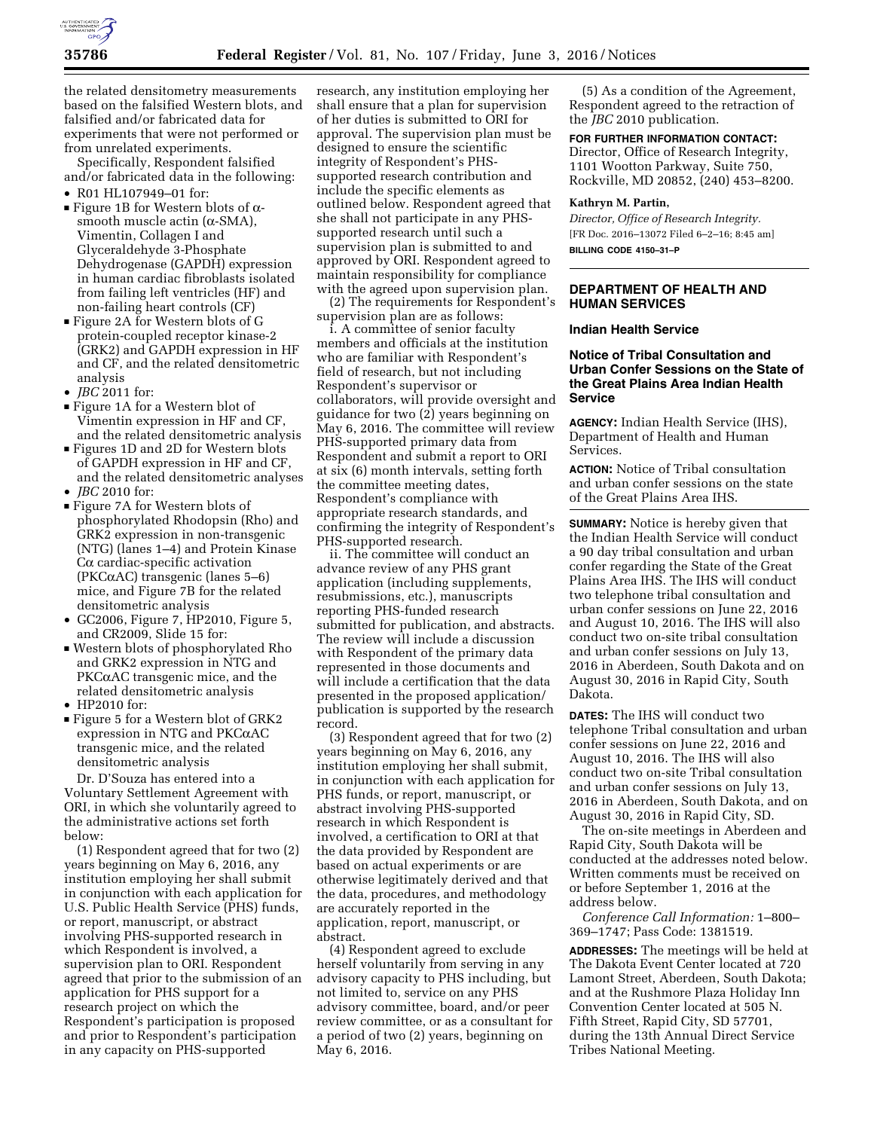

the related densitometry measurements based on the falsified Western blots, and falsified and/or fabricated data for experiments that were not performed or from unrelated experiments.

Specifically, Respondent falsified and/or fabricated data in the following:

- R01 HL107949–01 for:
- Figure 1B for Western blots of  $\alpha$ smooth muscle actin  $(\alpha$ -SMA), Vimentin, Collagen I and Glyceraldehyde 3-Phosphate Dehydrogenase (GAPDH) expression in human cardiac fibroblasts isolated from failing left ventricles (HF) and non-failing heart controls (CF)
- Figure 2A for Western blots of G protein-coupled receptor kinase-2 (GRK2) and GAPDH expression in HF and CF, and the related densitometric analysis
- *JBC* 2011 for:
- **Figure 1A for a Western blot of** Vimentin expression in HF and CF, and the related densitometric analysis
- Figures 1D and 2D for Western blots of GAPDH expression in HF and CF, and the related densitometric analyses
- *JBC* 2010 for:
- Figure 7A for Western blots of phosphorylated Rhodopsin (Rho) and GRK2 expression in non-transgenic (NTG) (lanes 1–4) and Protein Kinase  $C\alpha$  cardiac-specific activation ( $PKC\alpha$ AC) transgenic (lanes 5–6) mice, and Figure 7B for the related densitometric analysis
- GC2006, Figure 7, HP2010, Figure 5, and CR2009, Slide 15 for:
- D Western blots of phosphorylated Rho and GRK2 expression in NTG and PKCaAC transgenic mice, and the related densitometric analysis
- HP2010 for:
- Figure 5 for a Western blot of GRK2 expression in NTG and PKCaAC transgenic mice, and the related densitometric analysis

Dr. D'Souza has entered into a Voluntary Settlement Agreement with ORI, in which she voluntarily agreed to the administrative actions set forth below:

(1) Respondent agreed that for two (2) years beginning on May 6, 2016, any institution employing her shall submit in conjunction with each application for U.S. Public Health Service (PHS) funds, or report, manuscript, or abstract involving PHS-supported research in which Respondent is involved, a supervision plan to ORI. Respondent agreed that prior to the submission of an application for PHS support for a research project on which the Respondent's participation is proposed and prior to Respondent's participation in any capacity on PHS-supported

research, any institution employing her shall ensure that a plan for supervision of her duties is submitted to ORI for approval. The supervision plan must be designed to ensure the scientific integrity of Respondent's PHSsupported research contribution and include the specific elements as outlined below. Respondent agreed that she shall not participate in any PHSsupported research until such a supervision plan is submitted to and approved by ORI. Respondent agreed to maintain responsibility for compliance with the agreed upon supervision plan.

(2) The requirements for Respondent's supervision plan are as follows:

i. A committee of senior faculty members and officials at the institution who are familiar with Respondent's field of research, but not including Respondent's supervisor or collaborators, will provide oversight and guidance for two (2) years beginning on May 6, 2016. The committee will review PHS-supported primary data from Respondent and submit a report to ORI at six (6) month intervals, setting forth the committee meeting dates, Respondent's compliance with appropriate research standards, and confirming the integrity of Respondent's PHS-supported research.

ii. The committee will conduct an advance review of any PHS grant application (including supplements, resubmissions, etc.), manuscripts reporting PHS-funded research submitted for publication, and abstracts. The review will include a discussion with Respondent of the primary data represented in those documents and will include a certification that the data presented in the proposed application/ publication is supported by the research record.

(3) Respondent agreed that for two (2) years beginning on May 6, 2016, any institution employing her shall submit, in conjunction with each application for PHS funds, or report, manuscript, or abstract involving PHS-supported research in which Respondent is involved, a certification to ORI at that the data provided by Respondent are based on actual experiments or are otherwise legitimately derived and that the data, procedures, and methodology are accurately reported in the application, report, manuscript, or abstract.

(4) Respondent agreed to exclude herself voluntarily from serving in any advisory capacity to PHS including, but not limited to, service on any PHS advisory committee, board, and/or peer review committee, or as a consultant for a period of two (2) years, beginning on May 6, 2016.

(5) As a condition of the Agreement, Respondent agreed to the retraction of the *JBC* 2010 publication.

# **FOR FURTHER INFORMATION CONTACT:**

Director, Office of Research Integrity, 1101 Wootton Parkway, Suite 750, Rockville, MD 20852, (240) 453–8200.

#### **Kathryn M. Partin,**

*Director, Office of Research Integrity.*  [FR Doc. 2016–13072 Filed 6–2–16; 8:45 am] **BILLING CODE 4150–31–P** 

## **DEPARTMENT OF HEALTH AND HUMAN SERVICES**

### **Indian Health Service**

## **Notice of Tribal Consultation and Urban Confer Sessions on the State of the Great Plains Area Indian Health Service**

**AGENCY:** Indian Health Service (IHS), Department of Health and Human Services.

**ACTION:** Notice of Tribal consultation and urban confer sessions on the state of the Great Plains Area IHS.

**SUMMARY:** Notice is hereby given that the Indian Health Service will conduct a 90 day tribal consultation and urban confer regarding the State of the Great Plains Area IHS. The IHS will conduct two telephone tribal consultation and urban confer sessions on June 22, 2016 and August 10, 2016. The IHS will also conduct two on-site tribal consultation and urban confer sessions on July 13, 2016 in Aberdeen, South Dakota and on August 30, 2016 in Rapid City, South Dakota.

**DATES:** The IHS will conduct two telephone Tribal consultation and urban confer sessions on June 22, 2016 and August 10, 2016. The IHS will also conduct two on-site Tribal consultation and urban confer sessions on July 13, 2016 in Aberdeen, South Dakota, and on August 30, 2016 in Rapid City, SD.

The on-site meetings in Aberdeen and Rapid City, South Dakota will be conducted at the addresses noted below. Written comments must be received on or before September 1, 2016 at the address below.

*Conference Call Information:* 1–800– 369–1747; Pass Code: 1381519.

**ADDRESSES:** The meetings will be held at The Dakota Event Center located at 720 Lamont Street, Aberdeen, South Dakota; and at the Rushmore Plaza Holiday Inn Convention Center located at 505 N. Fifth Street, Rapid City, SD 57701, during the 13th Annual Direct Service Tribes National Meeting.